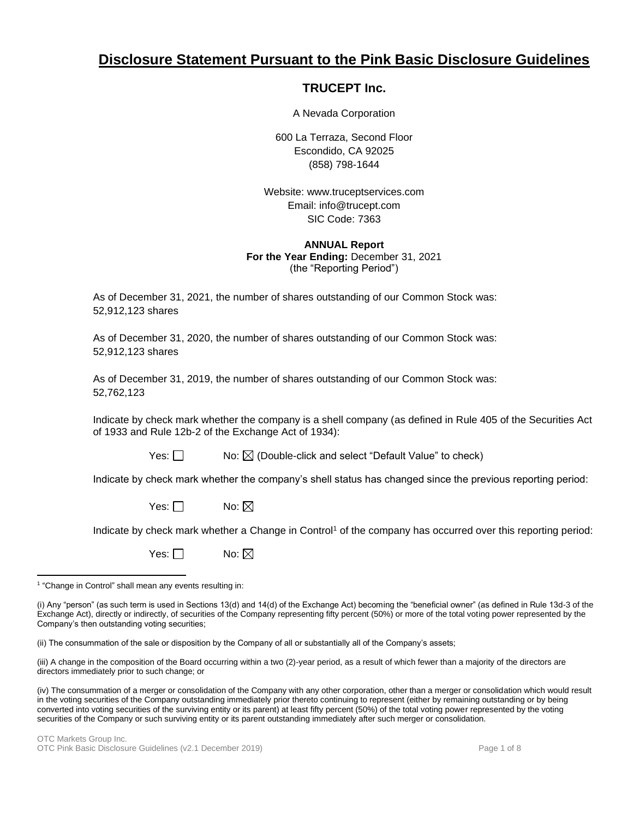# **Disclosure Statement Pursuant to the Pink Basic Disclosure Guidelines**

## **TRUCEPT Inc.**

A Nevada Corporation

600 La Terraza, Second Floor Escondido, CA 92025 (858) 798-1644

Website: www.truceptservices.com Email: info@trucept.com SIC Code: 7363

## **ANNUAL Report For the Year Ending:** December 31, 2021 (the "Reporting Period")

As of December 31, 2021, the number of shares outstanding of our Common Stock was: 52,912,123 shares

As of December 31, 2020, the number of shares outstanding of our Common Stock was: 52,912,123 shares

As of December 31, 2019, the number of shares outstanding of our Common Stock was: 52,762,123

Indicate by check mark whether the company is a shell company (as defined in Rule 405 of the Securities Act of 1933 and Rule 12b-2 of the Exchange Act of 1934):

|--|--|--|

No:  $\boxtimes$  (Double-click and select "Default Value" to check)

Indicate by check mark whether the company's shell status has changed since the previous reporting period:

Yes:  $\Box$  No:  $\boxtimes$ 

Indicate by check mark whether a Change in Control<sup>1</sup> of the company has occurred over this reporting period:

Yes:  $\Box$  No:  $\boxtimes$ 

(ii) The consummation of the sale or disposition by the Company of all or substantially all of the Company's assets;

(iii) A change in the composition of the Board occurring within a two (2)-year period, as a result of which fewer than a majority of the directors are directors immediately prior to such change; or

(iv) The consummation of a merger or consolidation of the Company with any other corporation, other than a merger or consolidation which would result in the voting securities of the Company outstanding immediately prior thereto continuing to represent (either by remaining outstanding or by being converted into voting securities of the surviving entity or its parent) at least fifty percent (50%) of the total voting power represented by the voting securities of the Company or such surviving entity or its parent outstanding immediately after such merger or consolidation.

<sup>&</sup>lt;sup>1</sup> "Change in Control" shall mean any events resulting in:

<sup>(</sup>i) Any "person" (as such term is used in Sections 13(d) and 14(d) of the Exchange Act) becoming the "beneficial owner" (as defined in Rule 13d-3 of the Exchange Act), directly or indirectly, of securities of the Company representing fifty percent (50%) or more of the total voting power represented by the Company's then outstanding voting securities;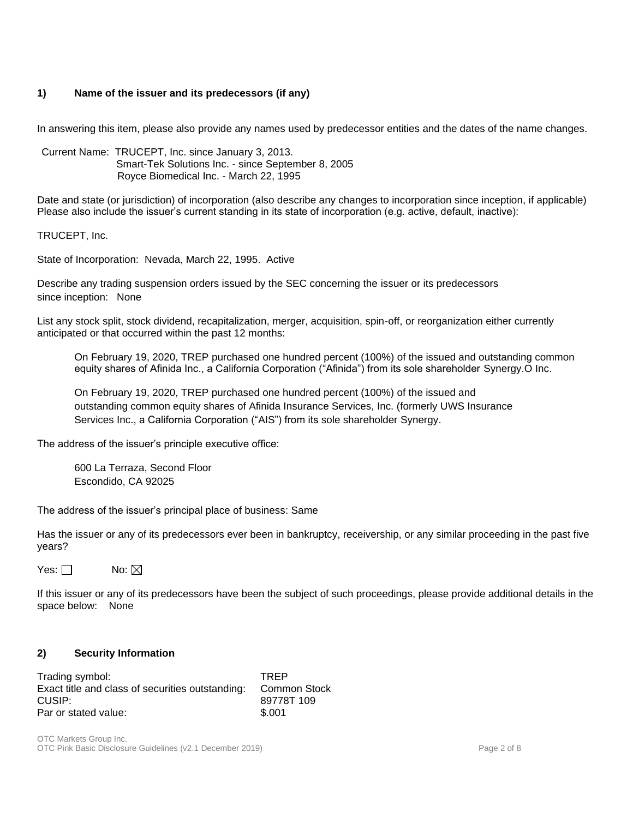## **1) Name of the issuer and its predecessors (if any)**

In answering this item, please also provide any names used by predecessor entities and the dates of the name changes.

Current Name: TRUCEPT, Inc. since January 3, 2013. Smart-Tek Solutions Inc. - since September 8, 2005 Royce Biomedical Inc. - March 22, 1995

Date and state (or jurisdiction) of incorporation (also describe any changes to incorporation since inception, if applicable) Please also include the issuer's current standing in its state of incorporation (e.g. active, default, inactive):

TRUCEPT, Inc.

State of Incorporation: Nevada, March 22, 1995. Active

Describe any trading suspension orders issued by the SEC concerning the issuer or its predecessors since inception: None

List any stock split, stock dividend, recapitalization, merger, acquisition, spin-off, or reorganization either currently anticipated or that occurred within the past 12 months:

On February 19, 2020, TREP purchased one hundred percent (100%) of the issued and outstanding common equity shares of Afinida Inc., a California Corporation ("Afinida") from its sole shareholder Synergy.O Inc.

On February 19, 2020, TREP purchased one hundred percent (100%) of the issued and outstanding common equity shares of Afinida Insurance Services, Inc. (formerly UWS Insurance Services Inc., a California Corporation ("AIS") from its sole shareholder Synergy.

The address of the issuer's principle executive office:

600 La Terraza, Second Floor Escondido, CA 92025

The address of the issuer's principal place of business: Same

Has the issuer or any of its predecessors ever been in bankruptcy, receivership, or any similar proceeding in the past five years?

Yes:  $\Box$  No:  $\boxtimes$ 

If this issuer or any of its predecessors have been the subject of such proceedings, please provide additional details in the space below: None

## **2) Security Information**

| Trading symbol:                                  | <b>TRFP</b>         |
|--------------------------------------------------|---------------------|
| Exact title and class of securities outstanding: | <b>Common Stock</b> |
| CUSIP:                                           | 89778T 109          |
| Par or stated value:                             | \$.001              |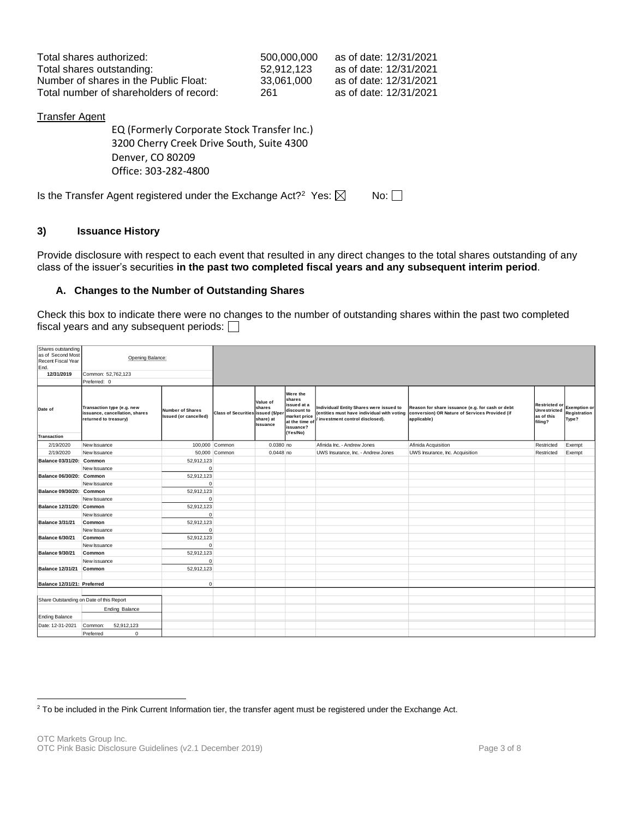| Total shares authorized:                | 500.000.000 | as of date: 12/31/2021 |
|-----------------------------------------|-------------|------------------------|
| Total shares outstanding:               | 52.912.123  | as of date: 12/31/2021 |
| Number of shares in the Public Float:   | 33.061.000  | as of date: 12/31/2021 |
| Total number of shareholders of record: | 261         | as of date: 12/31/2021 |

## Transfer Agent

EQ (Formerly Corporate Stock Transfer Inc.) 3200 Cherry Creek Drive South, Suite 4300 Denver, CO 80209 Office: 303-282-4800

Is the Transfer Agent registered under the Exchange Act?<sup>2</sup> Yes:  $\boxtimes$  No:

## **3) Issuance History**

Provide disclosure with respect to each event that resulted in any direct changes to the total shares outstanding of any class of the issuer's securities **in the past two completed fiscal years and any subsequent interim period**.

## **A. Changes to the Number of Outstanding Shares**

Check this box to indicate there were no changes to the number of outstanding shares within the past two completed fiscal years and any subsequent periods:  $\Box$ 

| Shares outstanding<br>as of Second Most<br>Recent Fiscal Year<br>End.<br>12/31/2019 | Opening Balance:<br>Common: 52,762,123<br>Preferred: 0                                |                                                  |                            |                                                               |                                                                                                             |                                                                            |                                                                                                                                                              |                                                                      |                                              |
|-------------------------------------------------------------------------------------|---------------------------------------------------------------------------------------|--------------------------------------------------|----------------------------|---------------------------------------------------------------|-------------------------------------------------------------------------------------------------------------|----------------------------------------------------------------------------|--------------------------------------------------------------------------------------------------------------------------------------------------------------|----------------------------------------------------------------------|----------------------------------------------|
| Date of<br>Transaction                                                              | Transaction type (e.g. new<br>issuance, cancellation, shares<br>returned to treasury) | <b>Number of Shares</b><br>Issued (or cancelled) | <b>Class of Securities</b> | Value of<br>shares<br>issued (\$/per<br>share) at<br>Issuance | Were the<br>shares<br>issued at a<br>discount to<br>market price<br>at the time of<br>issuance?<br>(Yes/No) | Individual/ Entity Shares were issued to<br>investment control disclosed). | Reason for share issuance (e.g. for cash or debt<br>(entities must have individual with voting conversion) OR Nature of Services Provided (if<br>applicable) | <b>Restricted or</b><br><b>Unrestricted</b><br>as of this<br>filing? | <b>Exemption or</b><br>Registration<br>Type? |
| 2/19/2020                                                                           | New Issuance                                                                          |                                                  | 100,000 Common             | 0.0380 no                                                     |                                                                                                             | Afinida Inc. - Andrew Jones                                                | Afinida Acquisition                                                                                                                                          | Restricted                                                           | Exempt                                       |
| 2/19/2020                                                                           | New Issuance                                                                          |                                                  | 50,000 Common              | $0.0448$ no                                                   |                                                                                                             | UWS Insurance, Inc. - Andrew Jones                                         | UWS Insurance, Inc. Acquisition                                                                                                                              | Restricted                                                           | Exempt                                       |
| Balance 03/31/20: Common                                                            |                                                                                       | 52,912,123                                       |                            |                                                               |                                                                                                             |                                                                            |                                                                                                                                                              |                                                                      |                                              |
|                                                                                     | New Issuance                                                                          | $\mathbf 0$                                      |                            |                                                               |                                                                                                             |                                                                            |                                                                                                                                                              |                                                                      |                                              |
| Balance 06/30/20: Common                                                            |                                                                                       | 52,912,123                                       |                            |                                                               |                                                                                                             |                                                                            |                                                                                                                                                              |                                                                      |                                              |
|                                                                                     | New Issuance                                                                          | $\pmb{0}$                                        |                            |                                                               |                                                                                                             |                                                                            |                                                                                                                                                              |                                                                      |                                              |
| Balance 09/30/20: Common                                                            |                                                                                       | 52,912,123                                       |                            |                                                               |                                                                                                             |                                                                            |                                                                                                                                                              |                                                                      |                                              |
|                                                                                     | New Issuance                                                                          | $\mathbf 0$                                      |                            |                                                               |                                                                                                             |                                                                            |                                                                                                                                                              |                                                                      |                                              |
| Balance 12/31/20: Common                                                            |                                                                                       | 52,912,123                                       |                            |                                                               |                                                                                                             |                                                                            |                                                                                                                                                              |                                                                      |                                              |
|                                                                                     | New Issuance                                                                          | $\mathbf 0$                                      |                            |                                                               |                                                                                                             |                                                                            |                                                                                                                                                              |                                                                      |                                              |
| <b>Balance 3/31/21</b>                                                              | Common                                                                                | 52,912,123                                       |                            |                                                               |                                                                                                             |                                                                            |                                                                                                                                                              |                                                                      |                                              |
|                                                                                     | New Issuance                                                                          | $\mathbf 0$                                      |                            |                                                               |                                                                                                             |                                                                            |                                                                                                                                                              |                                                                      |                                              |
| <b>Balance 6/30/21</b>                                                              | Common                                                                                | 52,912,123                                       |                            |                                                               |                                                                                                             |                                                                            |                                                                                                                                                              |                                                                      |                                              |
|                                                                                     | New Issuance                                                                          | $\Omega$                                         |                            |                                                               |                                                                                                             |                                                                            |                                                                                                                                                              |                                                                      |                                              |
| <b>Balance 9/30/21</b>                                                              | Common                                                                                | 52,912,123                                       |                            |                                                               |                                                                                                             |                                                                            |                                                                                                                                                              |                                                                      |                                              |
|                                                                                     | New issuance                                                                          | $\mathbf 0$                                      |                            |                                                               |                                                                                                             |                                                                            |                                                                                                                                                              |                                                                      |                                              |
| Balance 12/31/21 Common                                                             |                                                                                       | 52,912,123                                       |                            |                                                               |                                                                                                             |                                                                            |                                                                                                                                                              |                                                                      |                                              |
|                                                                                     |                                                                                       |                                                  |                            |                                                               |                                                                                                             |                                                                            |                                                                                                                                                              |                                                                      |                                              |
| Balance 12/31/21: Preferred                                                         |                                                                                       | $\mathbf{0}$                                     |                            |                                                               |                                                                                                             |                                                                            |                                                                                                                                                              |                                                                      |                                              |
|                                                                                     |                                                                                       |                                                  |                            |                                                               |                                                                                                             |                                                                            |                                                                                                                                                              |                                                                      |                                              |
|                                                                                     | Share Outstanding on Date of this Report                                              |                                                  |                            |                                                               |                                                                                                             |                                                                            |                                                                                                                                                              |                                                                      |                                              |
|                                                                                     | Ending Balance                                                                        |                                                  |                            |                                                               |                                                                                                             |                                                                            |                                                                                                                                                              |                                                                      |                                              |
| <b>Ending Balance</b>                                                               |                                                                                       |                                                  |                            |                                                               |                                                                                                             |                                                                            |                                                                                                                                                              |                                                                      |                                              |
| Date: 12-31-2021                                                                    | 52,912,123<br>Common:                                                                 |                                                  |                            |                                                               |                                                                                                             |                                                                            |                                                                                                                                                              |                                                                      |                                              |
|                                                                                     | 0<br>Preferred                                                                        |                                                  |                            |                                                               |                                                                                                             |                                                                            |                                                                                                                                                              |                                                                      |                                              |

<sup>&</sup>lt;sup>2</sup> To be included in the Pink Current Information tier, the transfer agent must be registered under the Exchange Act.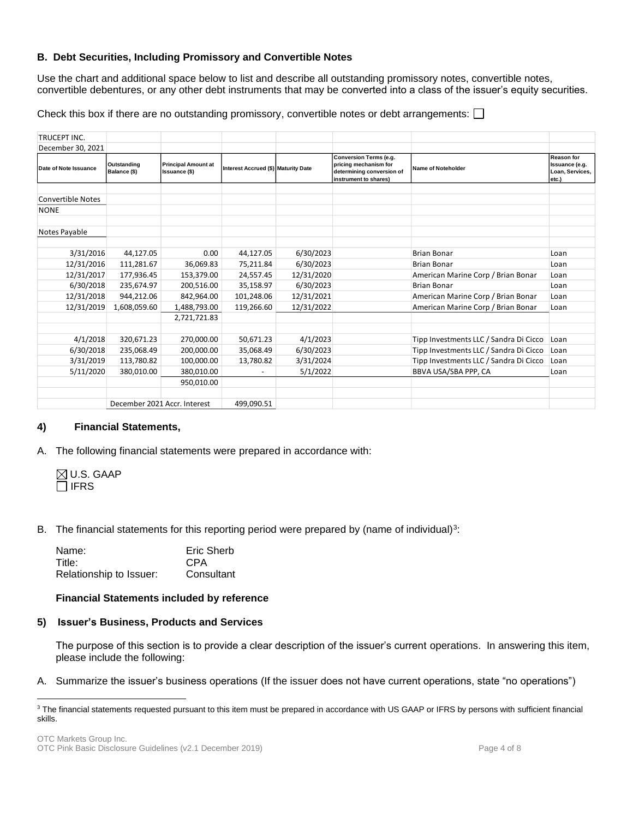## **B. Debt Securities, Including Promissory and Convertible Notes**

Use the chart and additional space below to list and describe all outstanding promissory notes, convertible notes, convertible debentures, or any other debt instruments that may be converted into a class of the issuer's equity securities.

Check this box if there are no outstanding promissory, convertible notes or debt arrangements:  $\Box$ 

| TRUCEPT INC.             |                             |                                             |                                            |            |                                                                                                              |                                        |                                                                 |
|--------------------------|-----------------------------|---------------------------------------------|--------------------------------------------|------------|--------------------------------------------------------------------------------------------------------------|----------------------------------------|-----------------------------------------------------------------|
| December 30, 2021        |                             |                                             |                                            |            |                                                                                                              |                                        |                                                                 |
| Date of Note Issuance    | Outstanding<br>Balance (\$) | <b>Principal Amount at</b><br>Issuance (\$) | <b>Interest Accrued (\$) Maturity Date</b> |            | <b>Conversion Terms (e.g.</b><br>pricing mechanism for<br>determining conversion of<br>instrument to shares) | Name of Noteholder                     | <b>Reason for</b><br>Issuance (e.g.<br>Loan, Services,<br>etc.) |
|                          |                             |                                             |                                            |            |                                                                                                              |                                        |                                                                 |
| <b>Convertible Notes</b> |                             |                                             |                                            |            |                                                                                                              |                                        |                                                                 |
| <b>NONE</b>              |                             |                                             |                                            |            |                                                                                                              |                                        |                                                                 |
|                          |                             |                                             |                                            |            |                                                                                                              |                                        |                                                                 |
| Notes Payable            |                             |                                             |                                            |            |                                                                                                              |                                        |                                                                 |
|                          |                             |                                             |                                            |            |                                                                                                              |                                        |                                                                 |
| 3/31/2016                | 44,127.05                   | 0.00                                        | 44,127.05                                  | 6/30/2023  |                                                                                                              | <b>Brian Bonar</b>                     | Loan                                                            |
| 12/31/2016               | 111,281.67                  | 36,069.83                                   | 75,211.84                                  | 6/30/2023  |                                                                                                              | <b>Brian Bonar</b>                     | Loan                                                            |
| 12/31/2017               | 177,936.45                  | 153,379.00                                  | 24,557.45                                  | 12/31/2020 |                                                                                                              | American Marine Corp / Brian Bonar     | Loan                                                            |
| 6/30/2018                | 235,674.97                  | 200,516.00                                  | 35,158.97                                  | 6/30/2023  |                                                                                                              | <b>Brian Bonar</b>                     | Loan                                                            |
| 12/31/2018               | 944,212.06                  | 842,964.00                                  | 101,248.06                                 | 12/31/2021 |                                                                                                              | American Marine Corp / Brian Bonar     | Loan                                                            |
| 12/31/2019               | 1,608,059.60                | 1,488,793.00                                | 119,266.60                                 | 12/31/2022 |                                                                                                              | American Marine Corp / Brian Bonar     | Loan                                                            |
|                          |                             | 2,721,721.83                                |                                            |            |                                                                                                              |                                        |                                                                 |
|                          |                             |                                             |                                            |            |                                                                                                              |                                        |                                                                 |
| 4/1/2018                 | 320,671.23                  | 270,000.00                                  | 50,671.23                                  | 4/1/2023   |                                                                                                              | Tipp Investments LLC / Sandra Di Cicco | Loan                                                            |
| 6/30/2018                | 235,068.49                  | 200,000.00                                  | 35,068.49                                  | 6/30/2023  |                                                                                                              | Tipp Investments LLC / Sandra Di Cicco | Loan                                                            |
| 3/31/2019                | 113,780.82                  | 100,000.00                                  | 13,780.82                                  | 3/31/2024  |                                                                                                              | Tipp Investments LLC / Sandra Di Cicco | Loan                                                            |
| 5/11/2020                | 380.010.00                  | 380,010.00                                  |                                            | 5/1/2022   |                                                                                                              | BBVA USA/SBA PPP, CA                   | Loan                                                            |
|                          |                             | 950,010.00                                  |                                            |            |                                                                                                              |                                        |                                                                 |
|                          |                             |                                             |                                            |            |                                                                                                              |                                        |                                                                 |
|                          |                             | December 2021 Accr. Interest                | 499,090.51                                 |            |                                                                                                              |                                        |                                                                 |

## **4) Financial Statements,**

A. The following financial statements were prepared in accordance with:

|             | $\boxtimes$ U.S. GAAP |
|-------------|-----------------------|
| $\Box$ IFRS |                       |

B. The financial statements for this reporting period were prepared by (name of individual) $3$ :

| Name:                   | Eric Sherb |
|-------------------------|------------|
| Title:                  | CPA        |
| Relationship to Issuer: | Consultant |

#### **Financial Statements included by reference**

#### **5) Issuer's Business, Products and Services**

The purpose of this section is to provide a clear description of the issuer's current operations. In answering this item, please include the following:

A. Summarize the issuer's business operations (If the issuer does not have current operations, state "no operations")

<sup>&</sup>lt;sup>3</sup> The financial statements requested pursuant to this item must be prepared in accordance with US GAAP or IFRS by persons with sufficient financial skills.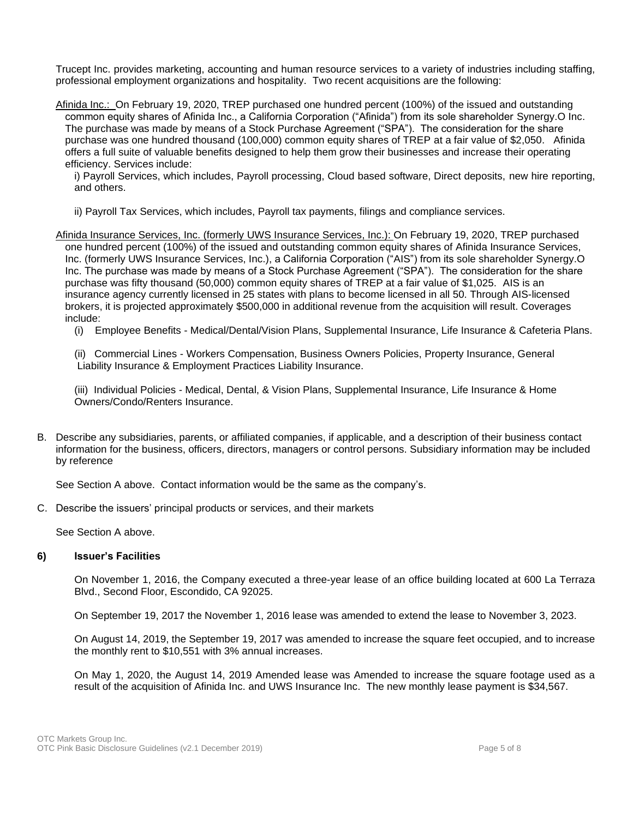Trucept Inc. provides marketing, accounting and human resource services to a variety of industries including staffing, professional employment organizations and hospitality. Two recent acquisitions are the following:

Afinida Inc.: On February 19, 2020, TREP purchased one hundred percent (100%) of the issued and outstanding common equity shares of Afinida Inc., a California Corporation ("Afinida") from its sole shareholder Synergy.O Inc. The purchase was made by means of a Stock Purchase Agreement ("SPA"). The consideration for the share purchase was one hundred thousand (100,000) common equity shares of TREP at a fair value of \$2,050. Afinida offers a full suite of valuable benefits designed to help them grow their businesses and increase their operating efficiency. Services include:

i) Payroll Services, which includes, Payroll processing, Cloud based software, Direct deposits, new hire reporting, and others.

- ii) Payroll Tax Services, which includes, Payroll tax payments, filings and compliance services.
- Afinida Insurance Services, Inc. (formerly UWS Insurance Services, Inc.): On February 19, 2020, TREP purchased one hundred percent (100%) of the issued and outstanding common equity shares of Afinida Insurance Services, Inc. (formerly UWS Insurance Services, Inc.), a California Corporation ("AIS") from its sole shareholder Synergy.O Inc. The purchase was made by means of a Stock Purchase Agreement ("SPA"). The consideration for the share purchase was fifty thousand (50,000) common equity shares of TREP at a fair value of \$1,025. AIS is an insurance agency currently licensed in 25 states with plans to become licensed in all 50. Through AIS-licensed brokers, it is projected approximately \$500,000 in additional revenue from the acquisition will result. Coverages include:

(i) Employee Benefits - Medical/Dental/Vision Plans, Supplemental Insurance, Life Insurance & Cafeteria Plans.

(ii) Commercial Lines - Workers Compensation, Business Owners Policies, Property Insurance, General Liability Insurance & Employment Practices Liability Insurance.

(iii) Individual Policies - Medical, Dental, & Vision Plans, Supplemental Insurance, Life Insurance & Home Owners/Condo/Renters Insurance.

B. Describe any subsidiaries, parents, or affiliated companies, if applicable, and a description of their business contact information for the business, officers, directors, managers or control persons. Subsidiary information may be included by reference

See Section A above. Contact information would be the same as the company's.

C. Describe the issuers' principal products or services, and their markets

See Section A above.

#### **6) Issuer's Facilities**

On November 1, 2016, the Company executed a three-year lease of an office building located at 600 La Terraza Blvd., Second Floor, Escondido, CA 92025.

On September 19, 2017 the November 1, 2016 lease was amended to extend the lease to November 3, 2023.

On August 14, 2019, the September 19, 2017 was amended to increase the square feet occupied, and to increase the monthly rent to \$10,551 with 3% annual increases.

On May 1, 2020, the August 14, 2019 Amended lease was Amended to increase the square footage used as a result of the acquisition of Afinida Inc. and UWS Insurance Inc. The new monthly lease payment is \$34,567.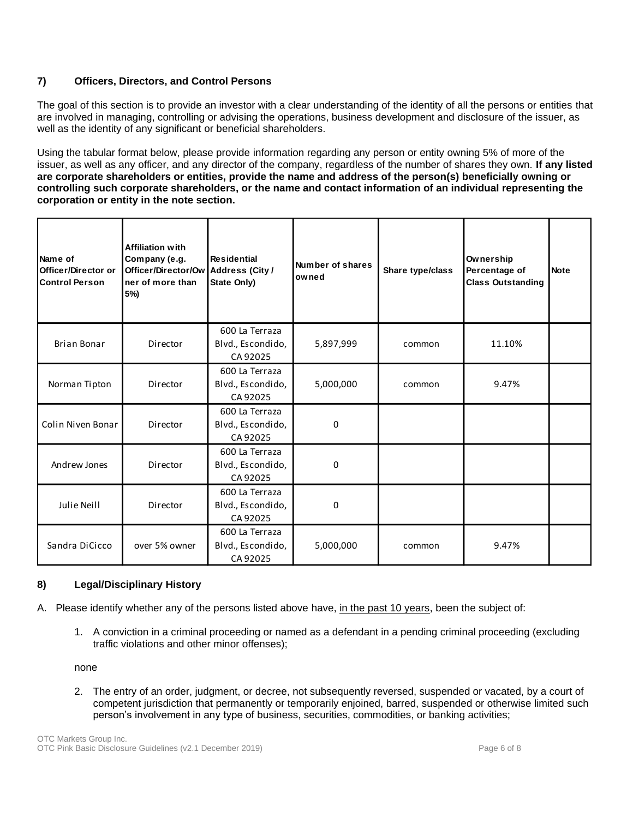## **7) Officers, Directors, and Control Persons**

The goal of this section is to provide an investor with a clear understanding of the identity of all the persons or entities that are involved in managing, controlling or advising the operations, business development and disclosure of the issuer, as well as the identity of any significant or beneficial shareholders.

Using the tabular format below, please provide information regarding any person or entity owning 5% of more of the issuer, as well as any officer, and any director of the company, regardless of the number of shares they own. **If any listed are corporate shareholders or entities, provide the name and address of the person(s) beneficially owning or controlling such corporate shareholders, or the name and contact information of an individual representing the corporation or entity in the note section.** 

| Name of<br>Officer/Director or<br><b>Control Person</b> | <b>Affiliation with</b><br>Company (e.g.<br>Officer/Director/Ow<br>ner of more than<br>5%) | <b>Residential</b><br><b>Address (City /</b><br>State Only) | Number of shares<br>owned | Share type/class | Ownership<br>Percentage of<br><b>Class Outstanding</b> | <b>Note</b> |
|---------------------------------------------------------|--------------------------------------------------------------------------------------------|-------------------------------------------------------------|---------------------------|------------------|--------------------------------------------------------|-------------|
| <b>Brian Bonar</b>                                      | Director                                                                                   | 600 La Terraza<br>Blvd., Escondido,<br>CA 92025             | 5,897,999                 | common           | 11.10%                                                 |             |
| Norman Tipton                                           | Director                                                                                   | 600 La Terraza<br>Blvd., Escondido,<br>CA 92025             | 5,000,000                 | common           | 9.47%                                                  |             |
| Colin Niven Bonar                                       | Director                                                                                   | 600 La Terraza<br>Blvd., Escondido,<br>CA 92025             | 0                         |                  |                                                        |             |
| Andrew Jones                                            | Director                                                                                   | 600 La Terraza<br>Blvd., Escondido,<br>CA 92025             | 0                         |                  |                                                        |             |
| Julie Neill                                             | Director                                                                                   | 600 La Terraza<br>Blvd., Escondido,<br>CA 92025             | 0                         |                  |                                                        |             |
| Sandra DiCicco                                          | over 5% owner                                                                              | 600 La Terraza<br>Blvd., Escondido,<br>CA 92025             | 5,000,000                 | common           | 9.47%                                                  |             |

## **8) Legal/Disciplinary History**

- A. Please identify whether any of the persons listed above have, in the past 10 years, been the subject of:
	- 1. A conviction in a criminal proceeding or named as a defendant in a pending criminal proceeding (excluding traffic violations and other minor offenses);

none

2. The entry of an order, judgment, or decree, not subsequently reversed, suspended or vacated, by a court of competent jurisdiction that permanently or temporarily enjoined, barred, suspended or otherwise limited such person's involvement in any type of business, securities, commodities, or banking activities;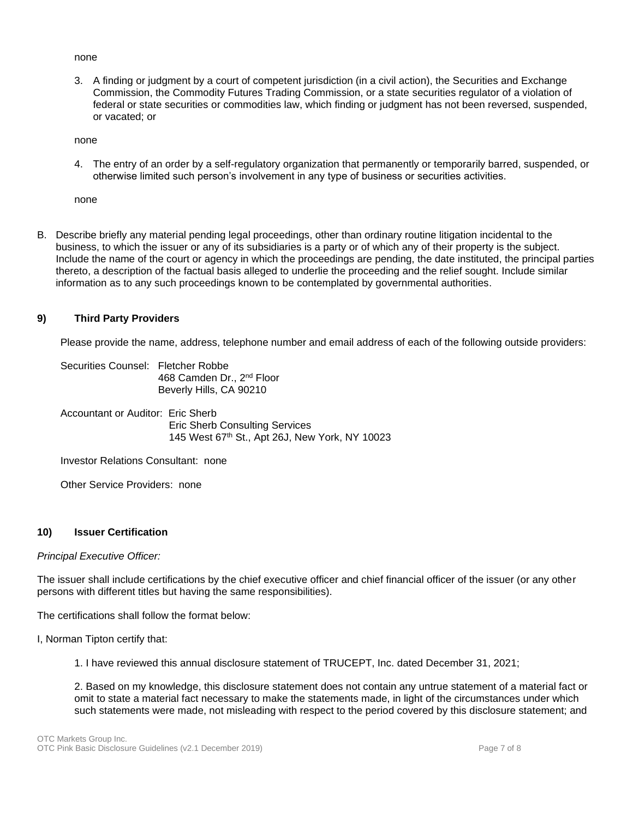#### none

3. A finding or judgment by a court of competent jurisdiction (in a civil action), the Securities and Exchange Commission, the Commodity Futures Trading Commission, or a state securities regulator of a violation of federal or state securities or commodities law, which finding or judgment has not been reversed, suspended, or vacated; or

none

4. The entry of an order by a self-regulatory organization that permanently or temporarily barred, suspended, or otherwise limited such person's involvement in any type of business or securities activities.

none

B. Describe briefly any material pending legal proceedings, other than ordinary routine litigation incidental to the business, to which the issuer or any of its subsidiaries is a party or of which any of their property is the subject. Include the name of the court or agency in which the proceedings are pending, the date instituted, the principal parties thereto, a description of the factual basis alleged to underlie the proceeding and the relief sought. Include similar information as to any such proceedings known to be contemplated by governmental authorities.

## **9) Third Party Providers**

Please provide the name, address, telephone number and email address of each of the following outside providers:

Securities Counsel: Fletcher Robbe 468 Camden Dr., 2nd Floor Beverly Hills, CA 90210

Accountant or Auditor: Eric Sherb Eric Sherb Consulting Services 145 West 67<sup>th</sup> St., Apt 26J, New York, NY 10023

Investor Relations Consultant: none

Other Service Providers: none

## **10) Issuer Certification**

## *Principal Executive Officer:*

The issuer shall include certifications by the chief executive officer and chief financial officer of the issuer (or any other persons with different titles but having the same responsibilities).

The certifications shall follow the format below:

- I, Norman Tipton certify that:
	- 1. I have reviewed this annual disclosure statement of TRUCEPT, Inc. dated December 31, 2021;

2. Based on my knowledge, this disclosure statement does not contain any untrue statement of a material fact or omit to state a material fact necessary to make the statements made, in light of the circumstances under which such statements were made, not misleading with respect to the period covered by this disclosure statement; and